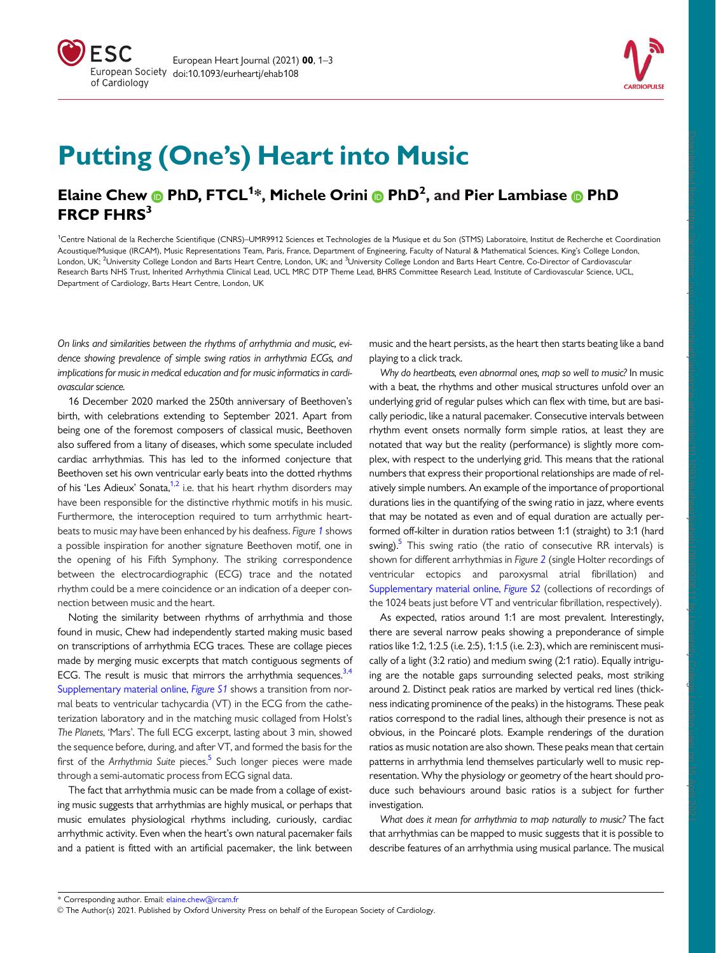



Downloaded from https://academic.oup.com/eurheartjaavance-article/doi/10.1093/eurheartj/ehab108/6200611 by University College London user on 15 April 2021<br>Downloaded from https://academic.oup.com/eurheartjaavance-article/d

# Putting (One's) Heart into Music

# Elaine Chew @ PhD, FTCL<sup>1</sup>\*, Michele Orini @ PhD<sup>2</sup>, and Pier Lambiase @ PhD FRCP FHRS<sup>3</sup>

<sup>1</sup>Centre National de la Recherche Scientifique (CNRS)–UMR9912 Sciences et Technologies de la Musique et du Son (STMS) Laboratoire, Institut de Recherche et Coordination Acoustique/Musique (IRCAM), Music Representations Team, Paris, France, Department of Engineering, Faculty of Natural & Mathematical Sciences, King's College London, London, UK; <sup>2</sup>University College London and Barts Heart Centre, London, UK; and <sup>3</sup>University College London and Barts Heart Centre, Co-Director of Cardiovascular Research Barts NHS Trust, Inherited Arrhythmia Clinical Lead, UCL MRC DTP Theme Lead, BHRS Committee Research Lead, Institute of Cardiovascular Science, UCL, Department of Cardiology, Barts Heart Centre, London, UK

On links and similarities between the rhythms of arrhythmia and music, evidence showing prevalence of simple swing ratios in arrhythmia ECGs, and implications for music in medical education and for music informatics in cardiovascular science.

16 December 2020 marked the 250th anniversary of Beethoven's birth, with celebrations extending to September 2021. Apart from being one of the foremost composers of classical music, Beethoven also suffered from a litany of diseases, which some speculate included cardiac arrhythmias. This has led to the informed conjecture that Beethoven set his own ventricular early beats into the dotted rhythms of his 'Les Adieux' Sonata, $1,2$  i.e. that his heart rhythm disorders may have been responsible for the distinctive rhythmic motifs in his music. Furthermore, the interoception required to turn arrhythmic heartbeats to music may have been enhanced by his deafness. Figure [1](#page-1-0) shows a possible inspiration for another signature Beethoven motif, one in the opening of his Fifth Symphony. The striking correspondence between the electrocardiographic (ECG) trace and the notated rhythm could be a mere coincidence or an indication of a deeper connection between music and the heart.

Noting the similarity between rhythms of arrhythmia and those found in music, Chew had independently started making music based on transcriptions of arrhythmia ECG traces. These are collage pieces made by merging music excerpts that match contiguous segments of ECG. The result is music that mirrors the arrhythmia sequences. $3,4$  $3,4$ Supplementary material online, Figure S1 shows a transition from normal beats to ventricular tachycardia (VT) in the ECG from the catheterization laboratory and in the matching music collaged from Holst's The Planets, 'Mars'. The full ECG excerpt, lasting about 3 min, showed the sequence before, during, and after VT, and formed the basis for the first of the Arrhythmia Suite pieces. $5$  Such longer pieces were made through a semi-automatic process from ECG signal data.

The fact that arrhythmia music can be made from a collage of existing music suggests that arrhythmias are highly musical, or perhaps that music emulates physiological rhythms including, curiously, cardiac arrhythmic activity. Even when the heart's own natural pacemaker fails and a patient is fitted with an artificial pacemaker, the link between music and the heart persists, as the heart then starts beating like a band playing to a click track.

Why do heartbeats, even abnormal ones, map so well to music? In music with a beat, the rhythms and other musical structures unfold over an underlying grid of regular pulses which can flex with time, but are basically periodic, like a natural pacemaker. Consecutive intervals between rhythm event onsets normally form simple ratios, at least they are notated that way but the reality (performance) is slightly more complex, with respect to the underlying grid. This means that the rational numbers that express their proportional relationships are made of relatively simple numbers. An example of the importance of proportional durations lies in the quantifying of the swing ratio in jazz, where events that may be notated as even and of equal duration are actually performed off-kilter in duration ratios between 1:1 (straight) to 3:1 (hard swing).<sup>5</sup> This swing ratio (the ratio of consecutive RR intervals) is shown for different arrhythmias in Figure [2](#page-1-0) (single Holter recordings of ventricular ectopics and paroxysmal atrial fibrillation) and Supplementary material online, Figure S2 (collections of recordings of the 1024 beats just before VT and ventricular fibrillation, respectively).

As expected, ratios around 1:1 are most prevalent. Interestingly, there are several narrow peaks showing a preponderance of simple ratios like 1:2, 1:2.5 (i.e. 2:5), 1:1.5 (i.e. 2:3), which are reminiscent musically of a light (3:2 ratio) and medium swing (2:1 ratio). Equally intriguing are the notable gaps surrounding selected peaks, most striking around 2. Distinct peak ratios are marked by vertical red lines (thickness indicating prominence of the peaks) in the histograms. These peak ratios correspond to the radial lines, although their presence is not as obvious, in the Poincaré plots. Example renderings of the duration ratios as music notation are also shown. These peaks mean that certain patterns in arrhythmia lend themselves particularly well to music representation. Why the physiology or geometry of the heart should produce such behaviours around basic ratios is a subject for further investigation.

What does it mean for arrhythmia to map naturally to music? The fact that arrhythmias can be mapped to music suggests that it is possible to describe features of an arrhythmia using musical parlance. The musical

V<sup>C</sup> [The Author\(s\) 2021. Published by Oxford University Press on behalf of the European Society of Cardiology.](mailto:elaine.chew@ircam.fr)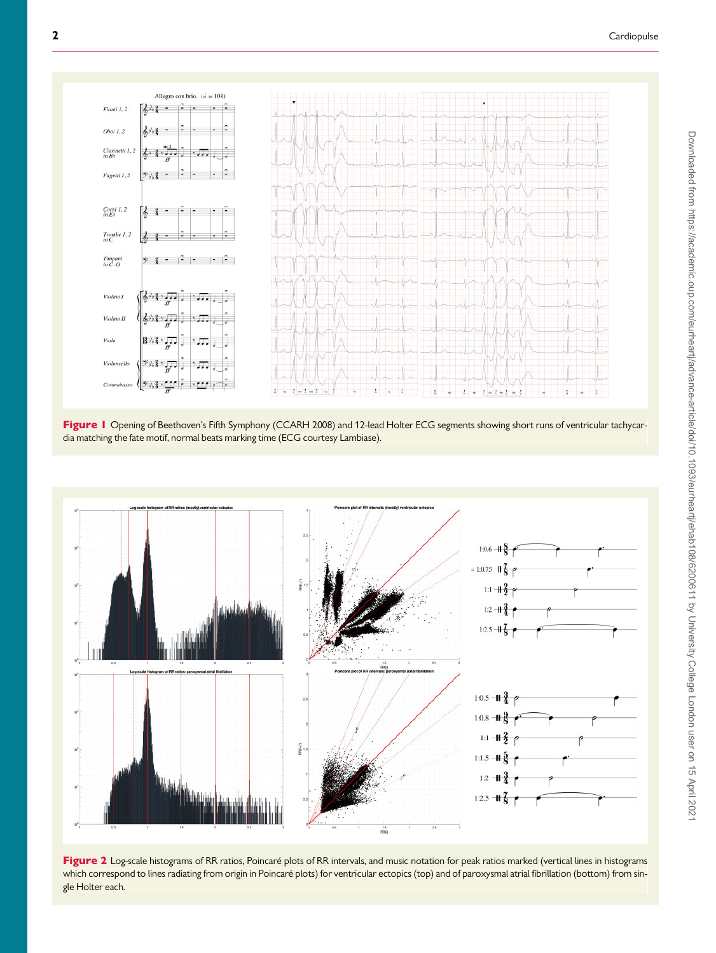<span id="page-1-0"></span>

Figure I Opening of Beethoven's Fifth Symphony (CCARH 2008) and 12-lead Holter ECG segments showing short runs of ventricular tachycardia matching the fate motif, normal beats marking time (ECG courtesy Lambiase).



Figure 2 Log-scale histograms of RR ratios, Poincaré plots of RR intervals, and music notation for peak ratios marked (vertical lines in histograms which correspond to lines radiating from origin in Poincaré plots) for ventricular ectopics (top) and of paroxysmal atrial fibrillation (bottom) from single Holter each.